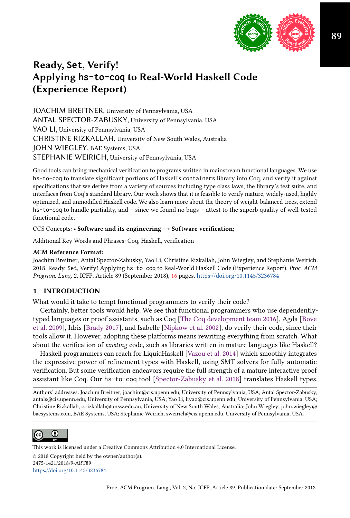

# Ready, **Set**, Verify! Applying **hs-to-coq** to Real-World Haskell Code (Experience Report)

JOACHIM BREITNER, University of Pennsylvania, USA ANTAL SPECTOR-ZABUSKY, University of Pennsylvania, USA YAO LI, University of Pennsylvania, USA CHRISTINE RIZKALLAH, University of New South Wales, Australia JOHN WIEGLEY, BAE Systems, USA STEPHANIE WEIRICH, University of Pennsylvania, USA

Good tools can bring mechanical verification to programs written in mainstream functional languages. We use hs-to-coq to translate significant portions of Haskell's containers library into Coq, and verify it against specifications that we derive from a variety of sources including type class laws, the library's test suite, and interfaces from Coq's standard library. Our work shows that it is feasible to verify mature, widely-used, highly optimized, and unmodified Haskell code. We also learn more about the theory of weight-balanced trees, extend hs-to-coq to handle partiality, and - since we found no bugs - attest to the superb quality of well-tested functional code.

CCS Concepts: • Software and its engineering → Software verification;

Additional Key Words and Phrases: Coq, Haskell, verification

#### ACM Reference Format:

Joachim Breitner, Antal Spector-Zabusky, Yao Li, Christine Rizkallah, John Wiegley, and Stephanie Weirich. 2018. Ready, Set, Verify! Applying hs-to-coq to Real-World Haskell Code (Experience Report). Proc. ACM Program. Lang. 2, ICFP, Article 89 (September 2018), [16](#page-15-0) pages. <https://doi.org/10.1145/3236784>

#### 1 INTRODUCTION

What would it take to tempt functional programmers to verify their code?

Certainly, better tools would help. We see that functional programmers who use dependentlytyped languages or proof assistants, such as Coq [\[The Coq development team](#page-15-1) [2016\]](#page-15-1), Agda [\[Bove](#page-15-2) [et al.](#page-15-2) [2009\]](#page-15-2), Idris [\[Brady 2017\]](#page-15-3), and Isabelle [\[Nipkow et al.](#page-15-4) [2002\]](#page-15-4), do verify their code, since their tools allow it. However, adopting these platforms means rewriting everything from scratch. What about the verification of existing code, such as libraries written in mature languages like Haskell?

Haskell programmers can reach for LiquidHaskell [\[Vazou et al.](#page-15-5) [2014\]](#page-15-5) which smoothly integrates the expressive power of refinement types with Haskell, using SMT solvers for fully automatic verification. But some verification endeavors require the full strength of a mature interactive proof assistant like Coq. Our hs-to-coq tool [\[Spector-Zabusky et al.](#page-15-6) [2018\]](#page-15-6) translates Haskell types,

Authors' addresses: Joachim Breitner, joachim@cis.upenn.edu, University of Pennsylvania, USA; Antal Spector-Zabusky, antals@cis.upenn.edu, University of Pennsylvania, USA; Yao Li, liyao@cis.upenn.edu, University of Pennsylvania, USA; Christine Rizkallah, c.rizkallah@unsw.edu.au, University of New South Wales, Australia; John Wiegley, john.wiegley@ baesystems.com, BAE Systems, USA; Stephanie Weirich, sweirich@cis.upenn.edu, University of Pennsylvania, USA.



This work is licensed under a Creative Commons Attribution 4.0 International License. © 2018 Copyright held by the owner/author(s). 2475-1421/2018/9-ART89 <https://doi.org/10.1145/3236784>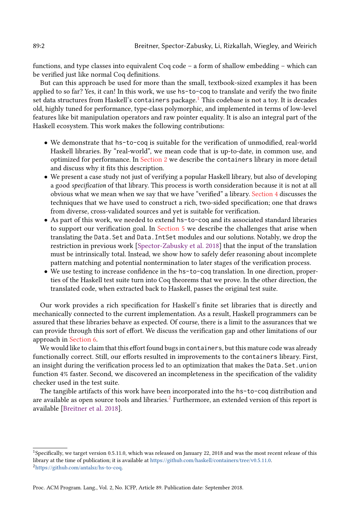functions, and type classes into equivalent Coq code  $-$  a form of shallow embedding  $-$  which can be verified just like normal Coq definitions.

But can this approach be used for more than the small, textbook-sized examples it has been applied to so far? Yes, it can! In this work, we use hs-to-coq to translate and verify the two finite set data structures from Haskell's containers package.<sup>[1](#page-1-0)</sup> This codebase is not a toy. It is decades old, highly tuned for performance, type-class polymorphic, and implemented in terms of low-level features like bit manipulation operators and raw pointer equality. It is also an integral part of the Haskell ecosystem. This work makes the following contributions:

- We demonstrate that hs-to-coq is suitable for the verification of unmodified, real-world Haskell libraries. By "real-world", we mean code that is up-to-date, in common use, and optimized for performance. In [Section 2](#page-2-0) we describe the containers library in more detail and discuss why it fits this description.
- We present a case study not just of verifying a popular Haskell library, but also of developing a good specification of that library. This process is worth consideration because it is not at all obvious what we mean when we say that we have "verified" a library. [Section 4](#page-4-0) discusses the techniques that we have used to construct a rich, two-sided specification; one that draws from diverse, cross-validated sources and yet is suitable for verification.
- As part of this work, we needed to extend hs-to-coq and its associated standard libraries to support our verification goal. In [Section 5](#page-8-0) we describe the challenges that arise when translating the Data.Set and Data.IntSet modules and our solutions. Notably, we drop the restriction in previous work [\[Spector-Zabusky et al.](#page-15-6) [2018\]](#page-15-6) that the input of the translation must be intrinsically total. Instead, we show how to safely defer reasoning about incomplete pattern matching and potential nontermination to later stages of the verification process.
- We use testing to increase confidence in the hs-to-coq translation. In one direction, properties of the Haskell test suite turn into Coq theorems that we prove. In the other direction, the translated code, when extracted back to Haskell, passes the original test suite.

Our work provides a rich specification for Haskell's finite set libraries that is directly and mechanically connected to the current implementation. As a result, Haskell programmers can be assured that these libraries behave as expected. Of course, there is a limit to the assurances that we can provide through this sort of effort. We discuss the verification gap and other limitations of our approach in [Section 6.](#page-13-0)

We would like to claim that this effort found bugs in containers, but this mature code was already functionally correct. Still, our efforts resulted in improvements to the containers library. First, an insight during the verification process led to an optimization that makes the Data.Set.union function 4% faster. Second, we discovered an incompleteness in the specification of the validity checker used in the test suite.

The tangible artifacts of this work have been incorporated into the hs-to-coq distribution and are available as open source tools and libraries.<sup>[2](#page-1-1)</sup> Furthermore, an extended version of this report is available [\[Breitner et al. 2018\]](#page-15-7).

<span id="page-1-1"></span><span id="page-1-0"></span><sup>1</sup>Specifically, we target version 0.5.11.0, which was released on January 22, 2018 and was the most recent release of this library at the time of publication; it is available at [https://github.com/haskell/containers/tree/v0.5.11.0.](https://github.com/haskell/containers/tree/v0.5.11.0) <sup>2</sup>[https://github.com/antalsz/hs-to-coq.](https://github.com/antalsz/hs-to-coq)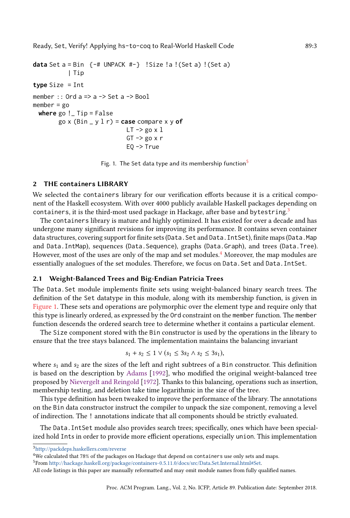Ready, Set, Verify! Applying hs-to-coq to Real-World Haskell Code 89:3

```
data Set a = Bin {-# UNPACK #-} !Size !a !(Set a) !(Set a)
             | Tip
type Size = Int
member :: Ord a \Rightarrow a \Rightarrow Set a \Rightarrow Bool
member = go
  where go !_ Tip = False
         go x (Bin _ y l r) = case compare x y of
                                   LT -> go x 1GT \rightarrow go \times rE0 \rightarrow True
```
Fig. 1. The Set data type and its membership function $5$ 

#### <span id="page-2-0"></span>2 THE **containers** LIBRARY

We selected the containers library for our verification efforts because it is a critical component of the Haskell ecosystem. With over 4000 publicly available Haskell packages depending on containers, it is the third-most used package in Hackage, after base and bytestring. $^3$  $^3$ 

The containers library is mature and highly optimized. It has existed for over a decade and has undergone many significant revisions for improving its performance. It contains seven container data structures, covering support for finite sets (Data. Set and Data. IntSet), finite maps (Data. Map and Data.IntMap), sequences (Data.Sequence), graphs (Data.Graph), and trees (Data.Tree). However, most of the uses are only of the map and set modules.<sup>[4](#page-2-3)</sup> Moreover, the map modules are essentially analogues of the set modules. Therefore, we focus on Data. Set and Data. IntSet.

#### 2.1 Weight-Balanced Trees and Big-Endian Patricia Trees

The Data.Set module implements finite sets using weight-balanced binary search trees. The definition of the Set datatype in this module, along with its membership function, is given in [Figure 1.](#page-2-4) These sets and operations are polymorphic over the element type and require only that this type is linearly ordered, as expressed by the Ord constraint on the member function. The member function descends the ordered search tree to determine whether it contains a particular element.

The Size component stored with the Bin constructor is used by the operations in the library to ensure that the tree stays balanced. The implementation maintains the balancing invariant

$$
s_1 + s_2 \le 1 \vee (s_1 \le 3s_2 \wedge s_2 \le 3s_1),
$$

where  $s_1$  and  $s_2$  are the sizes of the left and right subtrees of a Bin constructor. This definition is based on the description by [Adams](#page-15-8) [\[1992\]](#page-15-8), who modified the original weight-balanced tree proposed by [Nievergelt and Reingold](#page-15-9) [\[1972\]](#page-15-9). Thanks to this balancing, operations such as insertion, membership testing, and deletion take time logarithmic in the size of the tree.

This type definition has been tweaked to improve the performance of the library. The annotations on the Bin data constructor instruct the compiler to unpack the size component, removing a level of indirection. The ! annotations indicate that all components should be strictly evaluated.

The Data.IntSet module also provides search trees; specifically, ones which have been specialized hold Ints in order to provide more efficient operations, especially union. This implementation

<span id="page-2-2"></span><sup>3</sup><http://packdeps.haskellers.com/reverse>

<span id="page-2-3"></span><sup>&</sup>lt;sup>4</sup>We calculated that 78% of the packages on Hackage that depend on containers use only sets and maps.

<span id="page-2-1"></span><sup>5</sup>From [http://hackage.haskell.org/package/containers-0.5.11.0/docs/src/Data.Set.Internal.html#Set.](http://hackage.haskell.org/package/containers-0.5.11.0/docs/src/Data.Set.Internal.html#Set)

All code listings in this paper are manually reformatted and may omit module names from fully qualified names.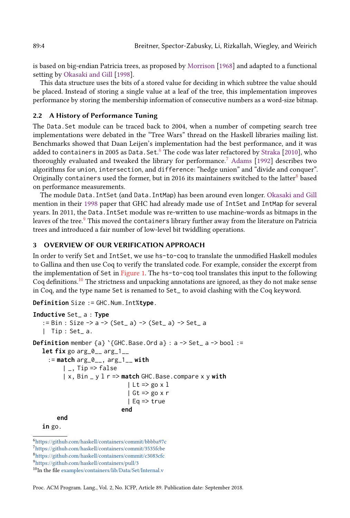is based on big-endian Patricia trees, as proposed by [Morrison](#page-15-10) [\[1968\]](#page-15-10) and adapted to a functional setting by [Okasaki and Gill](#page-15-11) [\[1998\]](#page-15-11).

This data structure uses the bits of a stored value for deciding in which subtree the value should be placed. Instead of storing a single value at a leaf of the tree, this implementation improves performance by storing the membership information of consecutive numbers as a word-size bitmap.

## 2.2 A History of Performance Tuning

The Data.Set module can be traced back to 2004, when a number of competing search tree implementations were debated in the "Tree Wars" thread on the Haskell libraries mailing list. Benchmarks showed that Daan Leijen's implementation had the best performance, and it was added to containers in 2005 as Data. Set.<sup>[6](#page-3-0)</sup> The code was later refactored by [Straka](#page-15-12) [\[2010\]](#page-15-12), who thoroughly evaluated and tweaked the library for performance.[7](#page-3-1) [Adams](#page-15-8) [\[1992\]](#page-15-8) describes two algorithms for union, intersection, and difference: "hedge union" and "divide and conquer". Originally containers used the former, but in 2016 its maintainers switched to the latter ${}^{8}$  ${}^{8}$  ${}^{8}$  based on performance measurements.

The module Data.IntSet (and Data.IntMap) has been around even longer. [Okasaki and Gill](#page-15-11) mention in their [1998](#page-15-11) paper that GHC had already made use of IntSet and IntMap for several years. In 2011, the Data.IntSet module was re-written to use machine-words as bitmaps in the leaves of the tree.<sup>[9](#page-3-3)</sup> This moved the containers library further away from the literature on Patricia trees and introduced a fair number of low-level bit twiddling operations.

# <span id="page-3-5"></span>3 OVERVIEW OF OUR VERIFICATION APPROACH

In order to verify Set and IntSet, we use hs-to-coq to translate the unmodified Haskell modules to Gallina and then use Coq to verify the translated code. For example, consider the excerpt from the implementation of Set in [Figure 1.](#page-2-4) The hs-to-coq tool translates this input to the following Coq definitions.[10](#page-3-4) The strictness and unpacking annotations are ignored, as they do not make sense in Coq, and the type name Set is renamed to Set\_ to avoid clashing with the Coq keyword.

**Definition** Size := GHC.Num.Int%**type**.

```
Inductive Set_ a : Type
   := Bin : Size -> a -> (Set_ a) -> (Set_ a) -> Set_ a
   | Tip : Set_ a.
Definition member {a} `{GHC.Base.Ord a} : a -> Set_ a -> bool :=
   let fix go arg_0__ arg_1__
     := match arg_0__, arg_1__ with
          |, Tip => false
          | x, Bin _ y l r => match GHC.Base.compare x y with
                              | Lt => \text{go } x 1| Gt => \text{go } x r| Eq => true
                             end
       end
   in go.
```
<span id="page-3-0"></span> $\rm^6$ <https://github.com/haskell/containers/commit/bbbba97c>

<span id="page-3-1"></span><sup>7</sup><https://github.com/haskell/containers/commit/3535fcbe>

<span id="page-3-2"></span><sup>8</sup><https://github.com/haskell/containers/commit/c3083cfc>

<span id="page-3-3"></span><sup>9</sup><https://github.com/haskell/containers/pull/3>

<span id="page-3-4"></span><sup>&</sup>lt;sup>10</sup>In the file [examples/containers/lib/Data/Set/Internal.v](https://github.com/antalsz/hs-to-coq/blob/67aaf28b5/examples/containers/lib/Data/Set/Internal.v)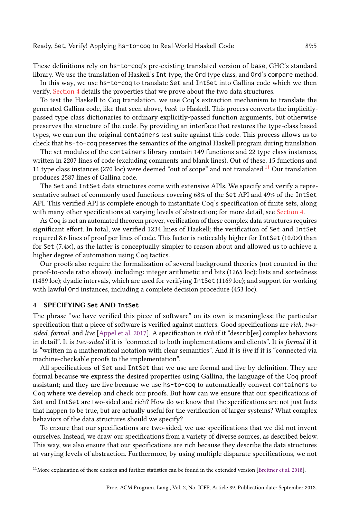These definitions rely on hs-to-coq's pre-existing translated version of base, GHC's standard library. We use the translation of Haskell's Int type, the Ord type class, and Ord's compare method.

In this way, we use hs-to-coq to translate Set and IntSet into Gallina code which we then verify. [Section 4](#page-4-0) details the properties that we prove about the two data structures.

To test the Haskell to Coq translation, we use Coq's extraction mechanism to translate the generated Gallina code, like that seen above, back to Haskell. This process converts the implicitlypassed type class dictionaries to ordinary explicitly-passed function arguments, but otherwise preserves the structure of the code. By providing an interface that restores the type-class based types, we can run the original containers test suite against this code. This process allows us to check that hs-to-coq preserves the semantics of the original Haskell program during translation.

The set modules of the containers library contain 149 functions and 22 type class instances, written in 2207 lines of code (excluding comments and blank lines). Out of these, 15 functions and [11](#page-4-1) type class instances (270 loc) were deemed "out of scope" and not translated.<sup>11</sup> Our translation produces 2587 lines of Gallina code.

The Set and IntSet data structures come with extensive APIs. We specify and verify a representative subset of commonly used functions covering 68% of the Set API and 49% of the IntSet API. This verified API is complete enough to instantiate Coq's specification of finite sets, along with many other specifications at varying levels of abstraction; for more detail, see [Section 4.](#page-4-0)

As Coq is not an automated theorem prover, verification of these complex data structures requires significant effort. In total, we verified 1234 lines of Haskell; the verification of Set and IntSet required 8.6 lines of proof per lines of code. This factor is noticeably higher for IntSet (10.0×) than for Set (7.4×), as the latter is conceptually simpler to reason about and allowed us to achieve a higher degree of automation using Coq tactics.

Our proofs also require the formalization of several background theories (not counted in the proof-to-code ratio above), including: integer arithmetic and bits (1265 loc): lists and sortedness (1489 loc); dyadic intervals, which are used for verifying IntSet (1169 loc); and support for working with lawful Ord instances, including a complete decision procedure (453 loc).

#### <span id="page-4-0"></span>4 SPECIFYING **Set** AND **IntSet**

The phrase "we have verified this piece of software" on its own is meaningless: the particular specification that a piece of software is verified against matters. Good specifications are rich, two-sided, formal, and live [\[Appel et al.](#page-15-13) [2017\]](#page-15-13). A specification is rich if it "describ[es] complex behaviors in detail". It is two-sided if it is "connected to both implementations and clients". It is formal if it is "written in a mathematical notation with clear semantics". And it is live if it is "connected via machine-checkable proofs to the implementation".

All specifications of Set and IntSet that we use are formal and live by definition. They are formal because we express the desired properties using Gallina, the language of the Coq proof assistant; and they are live because we use hs-to-coq to automatically convert containers to Coq where we develop and check our proofs. But how can we ensure that our specifications of Set and IntSet are two-sided and rich? How do we know that the specifications are not just facts that happen to be true, but are actually useful for the verification of larger systems? What complex behaviors of the data structures should we specify?

To ensure that our specifications are two-sided, we use specifications that we did not invent ourselves. Instead, we draw our specifications from a variety of diverse sources, as described below. This way, we also ensure that our specifications are rich because they describe the data structures at varying levels of abstraction. Furthermore, by using multiple disparate specifications, we not

<span id="page-4-1"></span> $11$ More explanation of these choices and further statistics can be found in the extended version [\[Breitner et al. 2018\]](#page-15-7).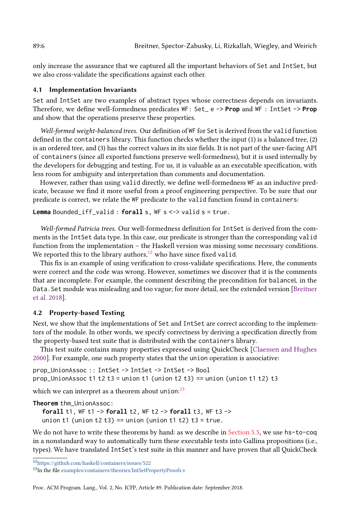only increase the assurance that we captured all the important behaviors of Set and IntSet, but we also cross-validate the specifications against each other.

## <span id="page-5-2"></span>4.1 Implementation Invariants

Set and IntSet are two examples of abstract types whose correctness depends on invariants. Therefore, we define well-formedness predicates WF: Set\_ e -> **Prop** and WF : IntSet -> **Prop** and show that the operations preserve these properties.

Well-formed weight-balanced trees. Our definition of WF for Set is derived from the valid function defined in the containers library. This function checks whether the input (1) is a balanced tree, (2) is an ordered tree, and (3) has the correct values in its size fields. It is not part of the user-facing API of containers (since all exported functions preserve well-formedness), but it is used internally by the developers for debugging and testing. For us, it is valuable as an executable specification, with less room for ambiguity and interpretation than comments and documentation.

However, rather than using valid directly, we define well-formedness WF as an inductive predicate, because we find it more useful from a proof engineering perspective. To be sure that our predicate is correct, we relate the WF predicate to the valid function found in containers:

**Lemma** Bounded\_iff\_valid : **forall** s, WF s <-> valid s = true.

Well-formed Patricia trees. Our well-formedness definition for IntSet is derived from the comments in the IntSet data type. In this case, our predicate is stronger than the corresponding valid function from the implementation  $-$  the Haskell version was missing some necessary conditions. We reported this to the library authors, $12$  who have since fixed valid.

This fix is an example of using verification to cross-validate specifications. Here, the comments were correct and the code was wrong. However, sometimes we discover that it is the comments that are incomplete. For example, the comment describing the precondition for balanceL in the Data.Set module was misleading and too vague; for more detail, see the extended version [\[Breitner](#page-15-7) [et al. 2018\]](#page-15-7).

## <span id="page-5-3"></span>4.2 Property-based Testing

Next, we show that the implementations of Set and IntSet are correct according to the implementors of the module. In other words, we specify correctness by deriving a specification directly from the property-based test suite that is distributed with the containers library.

This test suite contains many properties expressed using QuickCheck [\[Claessen and Hughes](#page-15-14) [2000\]](#page-15-14). For example, one such property states that the union operation is associative:

prop\_UnionAssoc :: IntSet -> IntSet -> IntSet -> Bool prop\_UnionAssoc t1 t2 t3 = union t1 (union t2 t3) == union (union t1 t2) t3

which we can interpret as a theorem about union: $^{13}$  $^{13}$  $^{13}$ 

**Theorem** thm\_UnionAssoc:

**forall** t1, WF t1 -> **forall** t2, WF t2 -> **forall** t3, WF t3 -> union t1 (union t2 t3) == union (union t1 t2) t3 = true.

We do not have to write these theorems by hand: as we describe in [Section 5.5,](#page-12-0) we use hs-to-coq in a nonstandard way to automatically turn these executable tests into Gallina propositions (i.e., types). We have translated IntSet's test suite in this manner and have proven that all QuickCheck

<span id="page-5-0"></span> $\rm ^{12}https://github.com/haskell/containskell/contains/issues/522$ 

<span id="page-5-1"></span><sup>13</sup>In the file [examples/containers/theories/IntSetPropertyProofs.v](https://github.com/antalsz/hs-to-coq/blob/67aaf28b5/examples/containers/theories/IntSetPropertyProofs.v)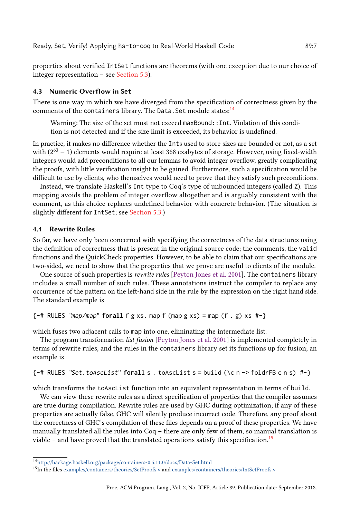properties about verified IntSet functions are theorems (with one exception due to our choice of integer representation  $-$  see [Section 5.3\)](#page-10-0).

#### 4.3 Numeric Overflow in **Set**

There is one way in which we have diverged from the specification of correctness given by the comments of the containers library. The Data. Set module states:<sup>[14](#page-6-0)</sup>

Warning: The size of the set must not exceed maxBound:: Int. Violation of this condition is not detected and if the size limit is exceeded, its behavior is undefined.

In practice, it makes no difference whether the Ints used to store sizes are bounded or not, as a set with  $(2^{63} - 1)$  elements would require at least 368 exabytes of storage. However, using fixed-width integers would add preconditions to all our lemmas to avoid integer overflow, greatly complicating the proofs, with little verification insight to be gained. Furthermore, such a specification would be difficult to use by clients, who themselves would need to prove that they satisfy such preconditions.

Instead, we translate Haskell's Int type to Coq's type of unbounded integers (called Z). This mapping avoids the problem of integer overflow altogether and is arguably consistent with the comment, as this choice replaces undefined behavior with concrete behavior. (The situation is slightly different for IntSet; see [Section 5.3.](#page-10-0))

## 4.4 Rewrite Rules

So far, we have only been concerned with specifying the correctness of the data structures using the definition of correctness that is present in the original source code; the comments, the valid functions and the QuickCheck properties. However, to be able to claim that our specifications are two-sided, we need to show that the properties that we prove are useful to clients of the module.

One source of such properties is rewrite rules [\[Peyton Jones et al.](#page-15-15) [2001\]](#page-15-15). The containers library includes a small number of such rules. These annotations instruct the compiler to replace any occurrence of the pattern on the left-hand side in the rule by the expression on the right hand side. The standard example is

```
{-}# RULES "map/map" forall f g xs. map f (map g xs) = map (f . g) xs #-}
```
which fuses two adjacent calls to map into one, eliminating the intermediate list.

The program transformation list fusion [\[Peyton Jones et al.](#page-15-15) [2001\]](#page-15-15) is implemented completely in terms of rewrite rules, and the rules in the containers library set its functions up for fusion; an example is

```
{-# RULES "Set.toAscList" forall s . toAscList s = build (\c n -> foldrFB c n s) #-}
```
which transforms the toAscList function into an equivalent representation in terms of build.

We can view these rewrite rules as a direct specification of properties that the compiler assumes are true during compilation. Rewrite rules are used by GHC during optimization; if any of these properties are actually false, GHC will silently produce incorrect code. Therefore, any proof about the correctness of GHC's compilation of these files depends on a proof of these properties. We have manually translated all the rules into  $Coq$  – there are only few of them, so manual translation is viable  $\sim$  and have proved that the translated operations satisfy this specification.<sup>[15](#page-6-1)</sup>

<span id="page-6-0"></span><sup>14</sup><http://hackage.haskell.org/package/containers-0.5.11.0/docs/Data-Set.html>

<span id="page-6-1"></span><sup>15</sup>In the files [examples/containers/theories/SetProofs.v](https://github.com/antalsz/hs-to-coq/blob/67aaf28b5/examples/containers/theories/SetProofs.v) and [examples/containers/theories/IntSetProofs.v](https://github.com/antalsz/hs-to-coq/blob/67aaf28b5/examples/containers/theories/IntSetProofs.v)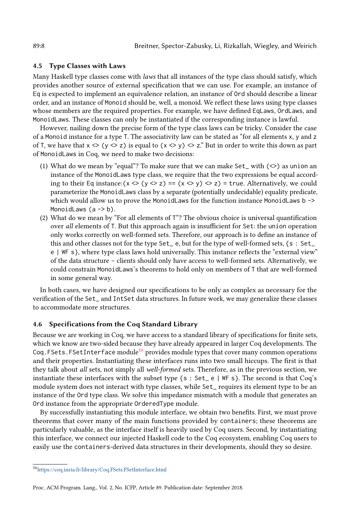### 4.5 Type Classes with Laws

Many Haskell type classes come with laws that all instances of the type class should satisfy, which provides another source of external specification that we can use. For example, an instance of Eq is expected to implement an equivalence relation, an instance of Ord should describe a linear order, and an instance of Monoid should be, well, a monoid. We reflect these laws using type classes whose members are the required properties. For example, we have defined EqLaws, OrdLaws, and MonoidLaws. These classes can only be instantiated if the corresponding instance is lawful.

However, nailing down the precise form of the type class laws can be tricky. Consider the case of a Monoid instance for a type T. The associativity law can be stated as "for all elements x, y and z of T, we have that  $x \leq (y \leq z)$  is equal to  $(x \leq y) \leq z$ . But in order to write this down as part of MonoidLaws in Coq, we need to make two decisions:

- (1) What do we mean by "equal"? To make sure that we can make Set\_ with  $(\le)$  as union an instance of the MonoidLaws type class, we require that the two expressions be equal according to their Eq instance:  $(x \le y \le z) = (x \le y) \le z) =$  true. Alternatively, we could parameterize the MonoidLaws class by a separate (potentially undecidable) equality predicate, which would allow us to prove the MonoidLaws for the function instance MonoidLaws b -> MonoidLaws (a -> b).
- (2) What do we mean by "For all elements of  $T$ "? The obvious choice is universal quantification over all elements of T. But this approach again is insufficient for Set: the union operation only works correctly on well-formed sets. Therefore, our approach is to define an instance of this and other classes not for the type Set\_ e, but for the type of well-formed sets, {s : Set\_ e | WF s}, where type class laws hold universally. This instance reflects the "external view" of the data structure – clients should only have access to well-formed sets. Alternatively, we could constrain MonoidLaws's theorems to hold only on members of T that are well-formed in some general way.

In both cases, we have designed our specifications to be only as complex as necessary for the verification of the Set\_ and IntSet data structures. In future work, we may generalize these classes to accommodate more structures.

#### 4.6 Specifications from the Coq Standard Library

Because we are working in Coq, we have access to a standard library of specifications for finite sets, which we know are two-sided because they have already appeared in larger Coq developments. The Coq. FSets. FSetInterface module<sup>[16](#page-7-0)</sup> provides module types that cover many common operations and their properties. Instantiating these interfaces runs into two small hiccups. The first is that they talk about all sets, not simply all well-formed sets. Therefore, as in the previous section, we instantiate these interfaces with the subset type  $\{s : \text{Set}_{e} \mid \text{WF } s\}$ . The second is that Coq's module system does not interact with type classes, while Set\_ requires its element type to be an instance of the Ord type class. We solve this impedance mismatch with a module that generates an Ord instance from the appropriate OrderedType module.

By successfully instantiating this module interface, we obtain two benefits. First, we must prove theorems that cover many of the main functions provided by containers; these theorems are particularly valuable, as the interface itself is heavily used by Coq users. Second, by instantiating this interface, we connect our injected Haskell code to the Coq ecosystem, enabling Coq users to easily use the containers-derived data structures in their developments, should they so desire.

<span id="page-7-0"></span><sup>16</sup><https://coq.inria.fr/library/Coq.FSets.FSetInterface.html>

Proc. ACM Program. Lang., Vol. 2, No. ICFP, Article 89. Publication date: September 2018.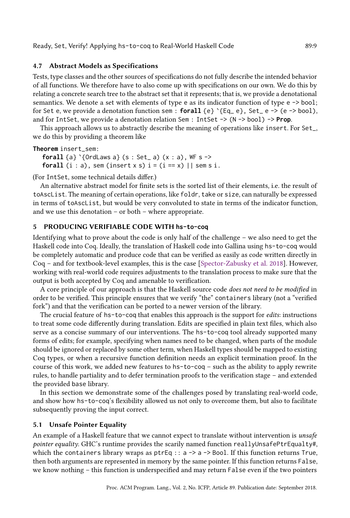Ready, Set, Verify! Applying hs-to-coq to Real-World Haskell Code 89:9

# 4.7 Abstract Models as Specifications

Tests, type classes and the other sources of specifications do not fully describe the intended behavior of all functions. We therefore have to also come up with specifications on our own. We do this by relating a concrete search tree to the abstract set that it represents; that is, we provide a denotational semantics. We denote a set with elements of type e as its indicator function of type e -> bool; for Set e, we provide a denotation function sem :  $$ and for IntSet, we provide a denotation relation Sem : IntSet -> (N -> bool) -> **Prop**.

This approach allows us to abstractly describe the meaning of operations like insert. For Set\_, we do this by providing a theorem like

**Theorem** insert\_sem:

**forall** {a} `{OrdLaws a} (s : Set\_ a)  $(x : a)$ , WF s -> **forall** (i : a), sem (insert x s)  $i = (i == x)$  || sem s i.

(For IntSet, some technical details differ.)

An alternative abstract model for finite sets is the sorted list of their elements, i.e. the result of toAscList. The meaning of certain operations, like foldr, take or size, can naturally be expressed in terms of toAscList, but would be very convoluted to state in terms of the indicator function, and we use this denotation  $-$  or both  $-$  where appropriate.

## <span id="page-8-0"></span>5 PRODUCING VERIFIABLE CODE WITH **hs-to-coq**

Identifying what to prove about the code is only half of the challenge  $-\omega$  we also need to get the Haskell code into Coq. Ideally, the translation of Haskell code into Gallina using hs-to-coq would be completely automatic and produce code that can be verified as easily as code written directly in Coq - and for textbook-level examples, this is the case [\[Spector-Zabusky et al.](#page-15-6) [2018\]](#page-15-6). However, working with real-world code requires adjustments to the translation process to make sure that the output is both accepted by Coq and amenable to verification.

A core principle of our approach is that the Haskell source code does not need to be modified in order to be verified. This principle ensures that we verify "the" containers library (not a "verified fork") and that the verification can be ported to a newer version of the library.

The crucial feature of hs-to-coq that enables this approach is the support for edits: instructions to treat some code differently during translation. Edits are specified in plain text files, which also serve as a concise summary of our interventions. The hs-to-coq tool already supported many forms of edits; for example, specifying when names need to be changed, when parts of the module should be ignored or replaced by some other term, when Haskell types should be mapped to existing Coq types, or when a recursive function definition needs an explicit termination proof. In the course of this work, we added new features to  $hs-to-coq - such$  as the ability to apply rewrite rules, to handle partiality and to defer termination proofs to the verification stage – and extended the provided base library.

In this section we demonstrate some of the challenges posed by translating real-world code, and show how hs-to-coq's flexibility allowed us not only to overcome them, but also to facilitate subsequently proving the input correct.

# <span id="page-8-1"></span>5.1 Unsafe Pointer Equality

An example of a Haskell feature that we cannot expect to translate without intervention is unsafe pointer equality. GHC's runtime provides the scarily named function reallyUnsafePtrEqualty#, which the containers library wraps as  $ptrEq :: a \rightarrow a \rightarrow Bool$ . If this function returns True, then both arguments are represented in memory by the same pointer. If this function returns False, we know nothing – this function is underspecified and may return False even if the two pointers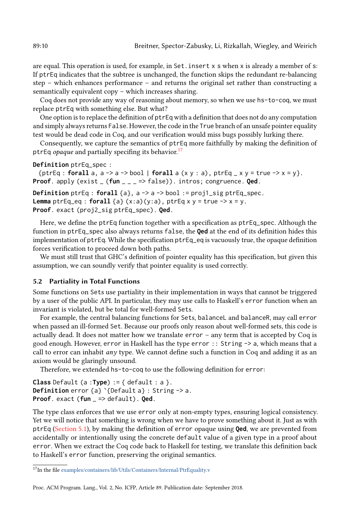are equal. This operation is used, for example, in Set. insert x s when x is already a member of s: If ptrEq indicates that the subtree is unchanged, the function skips the redundant re-balancing step  $-$  which enhances performance  $-$  and returns the original set rather than constructing a semantically equivalent copy  $-$  which increases sharing.

Coq does not provide any way of reasoning about memory, so when we use hs-to-coq, we must replace ptrEq with something else. But what?

One option is to replace the definition of ptrEq with a definition that does not do any computation and simply always returns False. However, the code in the True branch of an unsafe pointer equality test would be dead code in Coq, and our verification would miss bugs possibly lurking there.

Consequently, we capture the semantics of ptrEq more faithfully by making the definition of ptrEq *opaque* and partially specifing its behavior.<sup>[17](#page-9-0)</sup>

#### **Definition** ptrEq\_spec :

{ptrEq : **forall** a, a -> a -> bool | **forall** a (x y : a), ptrEq \_ x y = true -> x = y}. **Proof**. apply (exist \_ (**fun** \_ \_ \_ => false)). intros; congruence. **Qed**.

**Definition** ptrEq : **forall** {a}, a -> a -> bool := proj1\_sig ptrEq\_spec. **Lemma** ptrEq\_eq : **forall** {a}  $(x:a)(y:a)$ ,  $ptrEq x y = true -> x = y$ . **Proof**. exact (proj2\_sig ptrEq\_spec). **Qed**.

Here, we define the ptrEq function together with a specification as  $ptrEq\_spec$ . Although the function in ptrEq\_spec also always returns false, the **Qed** at the end of its definition hides this implementation of ptrEq. While the specification ptrEq\_eq is vacuously true, the opaque definition forces verification to proceed down both paths.

We must still trust that GHC's definition of pointer equality has this specification, but given this assumption, we can soundly verify that pointer equality is used correctly.

## <span id="page-9-1"></span>5.2 Partiality in Total Functions

Some functions on Sets use partiality in their implementation in ways that cannot be triggered by a user of the public API. In particular, they may use calls to Haskell's error function when an invariant is violated, but be total for well-formed Sets.

For example, the central balancing functions for Sets, balanceL and balanceR, may call error when passed an ill-formed Set. Because our proofs only reason about well-formed sets, this code is actually dead. It does not matter how we translate error  $-$  any term that is accepted by Coq is good enough. However, error in Haskell has the type error :: String -> a, which means that a call to error can inhabit any type. We cannot define such a function in Coq and adding it as an axiom would be glaringly unsound.

Therefore, we extended hs-to-coq to use the following definition for error:

**Class** Default (a :**Type**) := { default : a }. **Definition** error {a} `{Default a} : String -> a. **Proof**. exact (**fun** \_ => default). **Qed**.

The type class enforces that we use error only at non-empty types, ensuring logical consistency. Yet we will notice that something is wrong when we have to prove something about it. Just as with ptrEq [\(Section 5.1\)](#page-8-1), by making the definition of error opaque using **Qed**, we are prevented from accidentally or intentionally using the concrete default value of a given type in a proof about error. When we extract the Coq code back to Haskell for testing, we translate this definition back to Haskell's error function, preserving the original semantics.

<span id="page-9-0"></span><sup>&</sup>lt;sup>17</sup>In the file [examples/containers/lib/Utils/Containers/Internal/PtrEquality.v](https://github.com/antalsz/hs-to-coq/blob/67aaf28b5/examples/containers/lib/Utils/Containers/Internal/PtrEquality.v)

Proc. ACM Program. Lang., Vol. 2, No. ICFP, Article 89. Publication date: September 2018.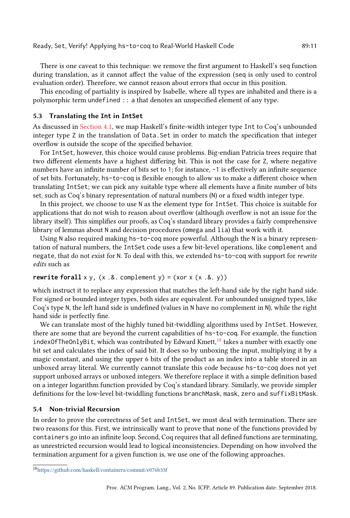There is one caveat to this technique: we remove the first argument to Haskell's seq function during translation, as it cannot affect the value of the expression (seq is only used to control evaluation order). Therefore, we cannot reason about errors that occur in this position.

This encoding of partiality is inspired by Isabelle, where all types are inhabited and there is a polymorphic term undefined :: a that denotes an unspecified element of any type.

#### <span id="page-10-0"></span>5.3 Translating the **Int** in **IntSet**

As discussed in [Section 4.1,](#page-5-2) we map Haskell's finite-width integer type Int to Coq's unbounded integer type Z in the translation of Data.Set in order to match the specification that integer overflow is outside the scope of the specified behavior.

For IntSet, however, this choice would cause problems. Big-endian Patricia trees require that two different elements have a highest differing bit. This is not the case for Z, where negative numbers have an infinite number of bits set to 1; for instance,  $-1$  is effectively an infinite sequence of set bits. Fortunately, hs-to-coq is flexible enough to allow us to make a different choice when translating IntSet; we can pick any suitable type where all elements have a finite number of bits set, such as Coq's binary representation of natural numbers (N) or a fixed width integer type.

In this project, we choose to use N as the element type for IntSet. This choice is suitable for applications that do not wish to reason about overflow (although overflow is not an issue for the library itself). This simplifies our proofs, as Coq's standard library provides a fairly comprehensive library of lemmas about N and decision procedures (omega and lia) that work with it.

Using N also required making hs-to-coq more powerful. Although the N is a binary representation of natural numbers, the IntSet code uses a few bit-level operations, like complement and negate, that do not exist for N. To deal with this, we extended hs-to-coq with support for rewrite edits such as

## **rewrite forall**  $x y$ ,  $(x .&x$ . complement  $y) = (x 0 x x (x .&x y))$

which instruct it to replace any expression that matches the left-hand side by the right hand side. For signed or bounded integer types, both sides are equivalent. For unbounded unsigned types, like Coq's type N, the left hand side is undefined (values in N have no complement in N), while the right hand side is perfectly fine.

We can translate most of the highly tuned bit-twiddling algorithms used by IntSet. However, there are some that are beyond the current capabilities of hs-to-coq. For example, the function indexOfTheOnlyBit, which was contributed by Edward Kmett, $^{18}$  $^{18}$  $^{18}$  takes a number with exactly one bit set and calculates the index of said bit. It does so by unboxing the input, multiplying it by a magic constant, and using the upper 6 bits of the product as an index into a table stored in an unboxed array literal. We currently cannot translate this code because hs-to-coq does not yet support unboxed arrays or unboxed integers. We therefore replace it with a simple definition based on a integer logarithm function provided by Coq's standard library. Similarly, we provide simpler definitions for the low-level bit-twiddling functions branchMask, mask, zero and suffixBitMask.

#### 5.4 Non-trivial Recursion

In order to prove the correctness of Set and IntSet, we must deal with termination. There are two reasons for this. First, we intrinsically want to prove that none of the functions provided by containers go into an infinite loop. Second, Coq requires that all defined functions are terminating, as unrestricted recursion would lead to logical inconsistencies. Depending on how involved the termination argument for a given function is, we use one of the following approaches.

<span id="page-10-1"></span><sup>18</sup><https://github.com/haskell/containers/commit/e076b33f>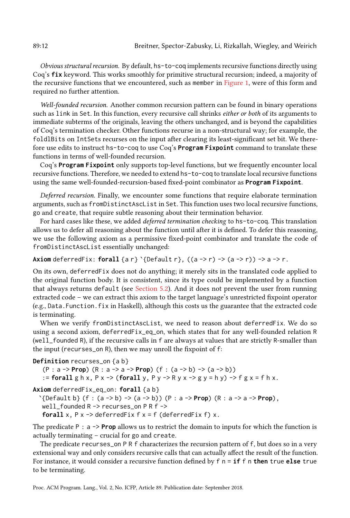Obvious structural recursion. By default, hs-to-coq implements recursive functions directly using Coq's **fix** keyword. This works smoothly for primitive structural recursion; indeed, a majority of the recursive functions that we encountered, such as member in [Figure 1,](#page-2-4) were of this form and required no further attention.

Well-founded recursion. Another common recursion pattern can be found in binary operations such as link in Set. In this function, every recursive call shrinks either or both of its arguments to immediate subterms of the originals, leaving the others unchanged, and is beyond the capabilities of Coq's termination checker. Other functions recurse in a non-structural way; for example, the foldlBits on IntSets recurses on the input after clearing its least-significant set bit. We therefore use edits to instruct hs-to-coq to use Coq's **Program Fixpoint** command to translate these functions in terms of well-founded recursion.

Coq's **Program Fixpoint** only supports top-level functions, but we frequently encounter local recursive functions. Therefore, we needed to extend hs-to-coq to translate local recursive functions using the same well-founded-recursion-based fixed-point combinator as **Program Fixpoint**.

<span id="page-11-0"></span>Deferred recursion. Finally, we encounter some functions that require elaborate termination arguments, such as fromDistinctAscList in Set. This function uses two local recursive functions, go and create, that require subtle reasoning about their termination behavior.

For hard cases like these, we added *deferred termination checking* to hs-to-coq. This translation allows us to defer all reasoning about the function until after it is defined. To defer this reasoning, we use the following axiom as a permissive fixed-point combinator and translate the code of fromDistinctAscList essentially unchanged:

## **Axiom** deferredFix: **forall** {a r} `{Default r},  $((a -> r) -> (a -> r)) -> a -> r$ .

On its own, deferredFix does not do anything; it merely sits in the translated code applied to the original function body. It is consistent, since its type could be implemented by a function that always returns default (see [Section 5.2\)](#page-9-1). And it does not prevent the user from running extracted code – we can extract this axiom to the target language's unrestricted fixpoint operator (e.g., Data.Function.fix in Haskell), although this costs us the guarantee that the extracted code is terminating.

When we verify fromDistinctAscList, we need to reason about deferredFix. We do so using a second axiom, deferredFix\_eq\_on, which states that for any well-founded relation R (well\_founded R), if the recursive calls in f are always at values that are strictly R-smaller than the input (recurses\_on R), then we may unroll the fixpoint of f:

```
Definition recurses_on {a b}
   (P : a -> Prop) (R : a -> a -> Prop) (f : (a -> b) -> (a -> b))
```
:= **forall** g h x, P x -> (**forall** y, P y -> R y x -> g y = h y) -> f g x = f h x.

```
Axiom deferredFix_eq_on: forall {a b}
```
`{Default b} (f : (a -> b) -> (a -> b)) (P : a -> **Prop**) (R : a -> a -> **Prop**), well\_founded R -> recurses\_on P R f -> **forall** x,  $P$  x  $\rightarrow$  deferredFix f x = f (deferredFix f) x.

The predicate  $P : a \rightarrow Prop$  allows us to restrict the domain to inputs for which the function is actually terminating  $-$  crucial for go and create.

The predicate recurses\_on P R f characterizes the recursion pattern of f, but does so in a very extensional way and only considers recursive calls that can actually affect the result of the function. For instance, it would consider a recursive function defined by f n = **if** f n **then** true **else** true to be terminating.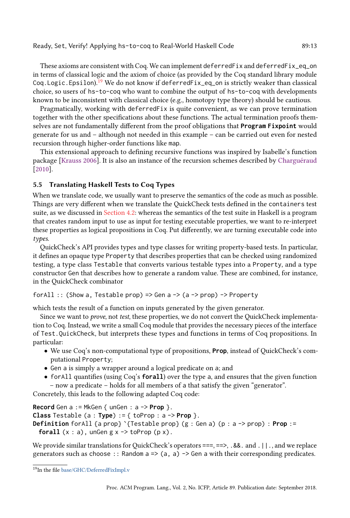#### Ready, Set, Verify! Applying hs-to-coq to Real-World Haskell Code 89:13

These axioms are consistent with Coq. We can implement deferredFix and deferredFix\_eq\_on in terms of classical logic and the axiom of choice (as provided by the Coq standard library module Coq. Logic. Epsilon).<sup>[19](#page-12-1)</sup> We do not know if deferredFix\_eq\_on is strictly weaker than classical choice, so users of hs-to-coq who want to combine the output of hs-to-coq with developments known to be inconsistent with classical choice (e.g., homotopy type theory) should be cautious.

Pragmatically, working with deferredFix is quite convenient, as we can prove termination together with the other specifications about these functions. The actual termination proofs themselves are not fundamentally different from the proof obligations that **Program Fixpoint** would generate for us and  $-$  although not needed in this example  $-$  can be carried out even for nested recursion through higher-order functions like map.

This extensional approach to defining recursive functions was inspired by Isabelle's function package [\[Krauss 2006\]](#page-15-16). It is also an instance of the recursion schemes described by [Charguéraud](#page-15-17) [\[2010\]](#page-15-17).

# <span id="page-12-0"></span>5.5 Translating Haskell Tests to Coq Types

When we translate code, we usually want to preserve the semantics of the code as much as possible. Things are very different when we translate the QuickCheck tests defined in the containers test suite, as we discussed in [Section 4.2:](#page-5-3) whereas the semantics of the test suite in Haskell is a program that creates random input to use as input for testing executable properties, we want to re-interpret these properties as logical propositions in Coq. Put differently, we are turning executable code into types.

QuickCheck's API provides types and type classes for writing property-based tests. In particular, it defines an opaque type Property that describes properties that can be checked using randomized testing, a type class Testable that converts various testable types into a Property, and a type constructor Gen that describes how to generate a random value. These are combined, for instance, in the QuickCheck combinator

forAll :: (Show a, Testable prop) => Gen a  $\rightarrow$  (a  $\rightarrow$  prop) -> Property

which tests the result of a function on inputs generated by the given generator.

Since we want to prove, not test, these properties, we do not convert the QuickCheck implementation to Coq. Instead, we write a small Coq module that provides the necessary pieces of the interface of Test.QuickCheck, but interprets these types and functions in terms of Coq propositions. In particular:

- We use Coq's non-computational type of propositions, **Prop**, instead of QuickCheck's computational Property;
- Gen a is simply a wrapper around a logical predicate on a; and
- forAll quantifies (using Coq's **forall**) over the type a, and ensures that the given function – now a predicate – holds for all members of a that satisfy the given "generator".

Concretely, this leads to the following adapted Coq code:

**Record** Gen a := MkGen { unGen : a -> **Prop** }. **Class** Testable (a : **Type**) := { toProp : a -> **Prop** }. **Definition** forAll {a prop} `{Testable prop} (g : Gen a) (p : a -> prop) : **Prop** := **forall**  $(x : a)$ , ungen  $g \times \neg >$  to Prop  $(p \times)$ .

We provide similar translations for QuickCheck's operators  $==, ==, .$  8.8. and .  $| \cdot |$ , and we replace generators such as choose :: Random  $a \Rightarrow (a, a) \Rightarrow$  Gen a with their corresponding predicates.

<span id="page-12-1"></span><sup>19</sup>In the file [base/GHC/DeferredFixImpl.v](https://github.com/antalsz/hs-to-coq/blob/67aaf28b5/base/GHC/DeferredFixImpl.v)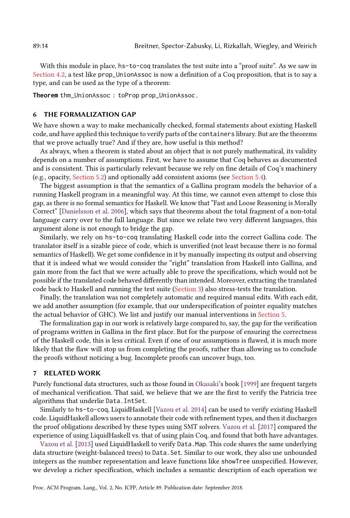With this module in place, hs-to-coq translates the test suite into a "proof suite". As we saw in [Section 4.2,](#page-5-3) a test like prop\_UnionAssoc is now a definition of a Coq proposition, that is to say a type, and can be used as the type of a theorem:

**Theorem** thm\_UnionAssoc : toProp prop\_UnionAssoc.

#### <span id="page-13-0"></span>6 THE FORMALIZATION GAP

We have shown a way to make mechanically checked, formal statements about existing Haskell code, and have applied this technique to verify parts of the containers library. But are the theorems that we prove actually true? And if they are, how useful is this method?

As always, when a theorem is stated about an object that is not purely mathematical, its validity depends on a number of assumptions. First, we have to assume that Coq behaves as documented and is consistent. This is particularly relevant because we rely on fine details of Coq's machinery (e.g., opacity, [Section 5.2\)](#page-9-1) and optionally add consistent axioms (see [Section 5.4\)](#page-11-0).

The biggest assumption is that the semantics of a Gallina program models the behavior of a running Haskell program in a meaningful way. At this time, we cannot even attempt to close this gap, as there is no formal semantics for Haskell. We know that "Fast and Loose Reasoning is Morally Correctž [\[Danielsson et al.](#page-15-18) [2006\]](#page-15-18), which says that theorems about the total fragment of a non-total language carry over to the full language. But since we relate two very different languages, this argument alone is not enough to bridge the gap.

Similarly, we rely on hs-to-coq translating Haskell code into the correct Gallina code. The translator itself is a sizable piece of code, which is unverified (not least because there is no formal semantics of Haskell). We get some confidence in it by manually inspecting its output and observing that it is indeed what we would consider the "right" translation from Haskell into Gallina, and gain more from the fact that we were actually able to prove the specifications, which would not be possible if the translated code behaved differently than intended. Moreover, extracting the translated code back to Haskell and running the test suite [\(Section 3\)](#page-3-5) also stress-tests the translation.

Finally, the translation was not completely automatic and required manual edits. With each edit, we add another assumption (for example, that our underspecification of pointer equality matches the actual behavior of GHC). We list and justify our manual interventions in [Section 5.](#page-8-0)

The formalization gap in our work is relatively large compared to, say, the gap for the verification of programs written in Gallina in the first place. But for the purpose of ensuring the correctness of the Haskell code, this is less critical. Even if one of our assumptions is flawed, it is much more likely that the flaw will stop us from completing the proofs, rather than allowing us to conclude the proofs without noticing a bug. Incomplete proofs can uncover bugs, too.

#### **RELATED WORK**

Purely functional data structures, such as those found in [Okasaki'](#page-15-19)s book [\[1999\]](#page-15-19) are frequent targets of mechanical verification. That said, we believe that we are the first to verify the Patricia tree algorithms that underlie Data.IntSet.

Similarly to hs-to-coq, LiquidHaskell [\[Vazou et al.](#page-15-5) [2014\]](#page-15-5) can be used to verify existing Haskell code. LiquidHaskell allows users to annotate their code with refinement types, and then it discharges the proof obligations described by these types using SMT solvers. [Vazou et al.](#page-15-20) [\[2017\]](#page-15-20) compared the experience of using LiquidHaskell vs. that of using plain Coq, and found that both have advantages.

[Vazou et al.](#page-15-21) [\[2013\]](#page-15-21) used LiquidHaskell to verify Data.Map. This code shares the same underlying data structure (weight-balanced trees) to Data.Set. Similar to our work, they also use unbounded integers as the number representation and leave functions like showTree unspecified. However, we develop a richer specification, which includes a semantic description of each operation we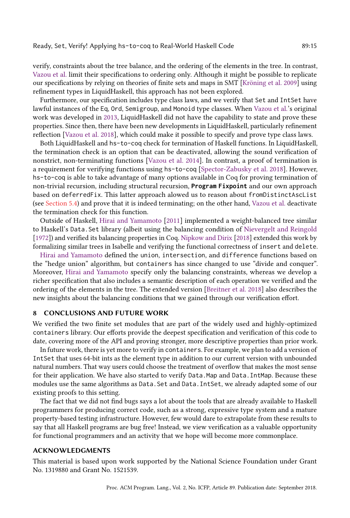verify, constraints about the tree balance, and the ordering of the elements in the tree. In contrast, [Vazou et al.](#page-15-21) limit their specifications to ordering only. Although it might be possible to replicate our specifications by relying on theories of finite sets and maps in SMT [\[Kröning et al.](#page-15-22) [2009\]](#page-15-22) using refinement types in LiquidHaskell, this approach has not been explored.

Furthermore, our specification includes type class laws, and we verify that Set and IntSet have lawful instances of the Eq, Ord, Semigroup, and Monoid type classes. When [Vazou et al.'](#page-15-21)s original work was developed in [2013,](#page-15-21) LiquidHaskell did not have the capability to state and prove these properties. Since then, there have been new developments in LiquidHaskell, particularly refinement reflection [\[Vazou et al. 2018\]](#page-15-23), which could make it possible to specify and prove type class laws.

Both LiquidHaskell and hs-to-coq check for termination of Haskell functions. In LiquidHaskell, the termination check is an option that can be deactivated, allowing the sound verification of nonstrict, non-terminating functions [\[Vazou et al.](#page-15-5) [2014\]](#page-15-5). In contrast, a proof of termination is a requirement for verifying functions using hs-to-coq [\[Spector-Zabusky et al.](#page-15-6) [2018\]](#page-15-6). However, hs-to-coq is able to take advantage of many options available in Coq for proving termination of non-trivial recursion, including structural recursion, **Program Fixpoint** and our own approach based on deferredFix. This latter approach alowed us to reason about fromDistinctAscList (see [Section 5.4\)](#page-11-0) and prove that it is indeed terminating; on the other hand, [Vazou et al.](#page-15-21) deactivate the termination check for this function.

Outside of Haskell, [Hirai and Yamamoto](#page-15-24) [\[2011\]](#page-15-24) implemented a weight-balanced tree similar to Haskell's Data.Set library (albeit using the balancing condition of [Nievergelt and Reingold](#page-15-9) [\[1972\]](#page-15-9)) and verified its balancing properties in Coq. [Nipkow and Dirix](#page-15-25) [\[2018\]](#page-15-25) extended this work by formalizing similar trees in Isabelle and verifying the functional correctness of insert and delete.

[Hirai and Yamamoto](#page-15-24) defined the union, intersection, and difference functions based on the "hedge union" algorithm, but containers has since changed to use "divide and conquer". Moreover, [Hirai and Yamamoto](#page-15-24) specify only the balancing constraints, whereas we develop a richer specification that also includes a semantic description of each operation we verified and the ordering of the elements in the tree. The extended version [\[Breitner et al.](#page-15-7) [2018\]](#page-15-7) also describes the new insights about the balancing conditions that we gained through our verification effort.

# 8 CONCLUSIONS AND FUTURE WORK

We verified the two finite set modules that are part of the widely used and highly-optimized containers library. Our efforts provide the deepest specification and verification of this code to date, covering more of the API and proving stronger, more descriptive properties than prior work.

In future work, there is yet more to verify in containers. For example, we plan to add a version of IntSet that uses 64-bit ints as the element type in addition to our current version with unbounded natural numbers. That way users could choose the treatment of overflow that makes the most sense for their application. We have also started to verify Data.Map and Data.IntMap. Because these modules use the same algorithms as Data.Set and Data.IntSet, we already adapted some of our existing proofs to this setting.

The fact that we did not find bugs says a lot about the tools that are already available to Haskell programmers for producing correct code, such as a strong, expressive type system and a mature property-based testing infrastructure. However, few would dare to extrapolate from these results to say that all Haskell programs are bug free! Instead, we view verification as a valuable opportunity for functional programmers and an activity that we hope will become more commonplace.

# ACKNOWLEDGMENTS

This material is based upon work supported by the National Science Foundation under Grant No. 1319880 and Grant No. 1521539.